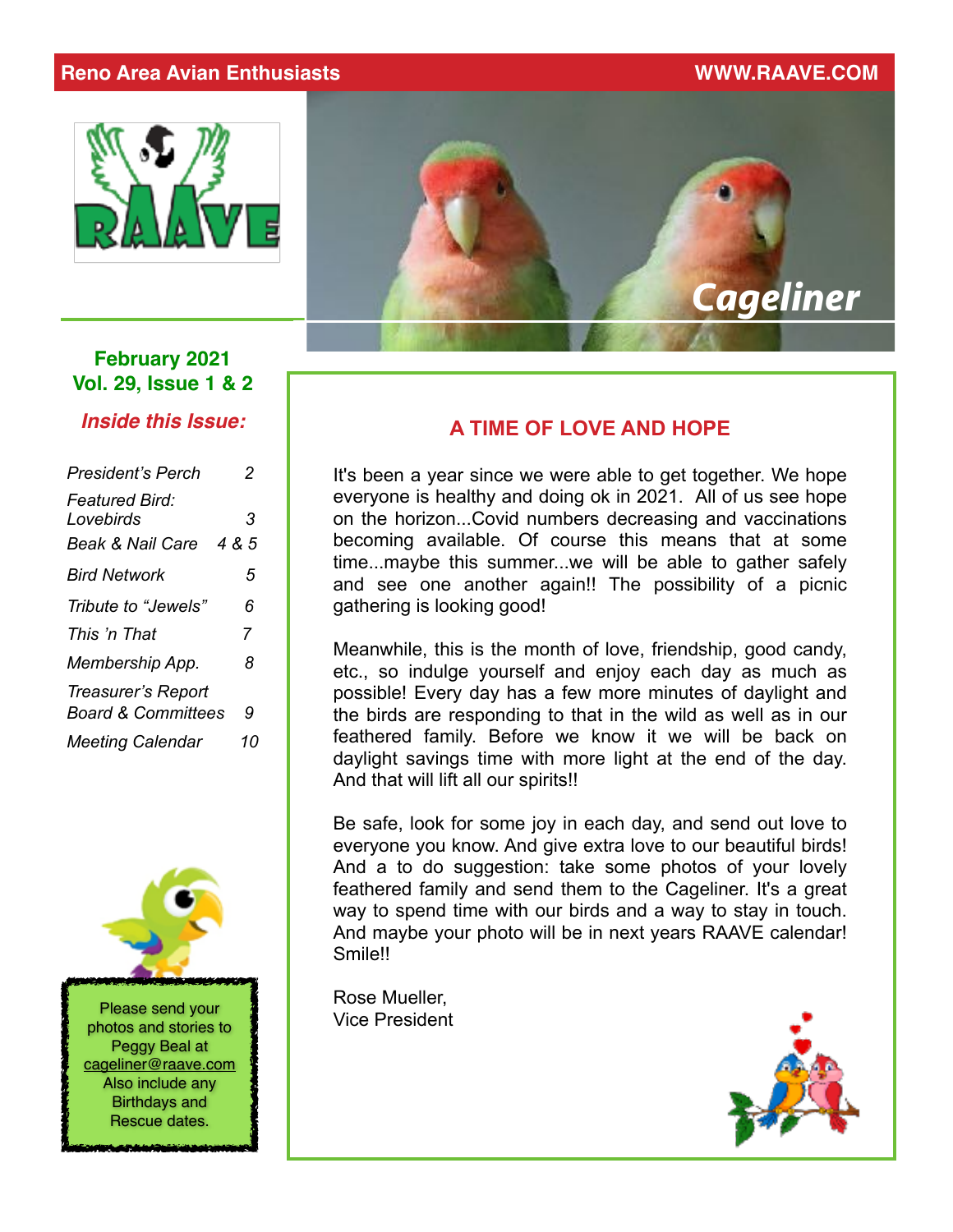#### **Reno Area Avian Enthusiasts WWW.RAAVE.COM**





#### **February 2021 Vol. 29, Issue 1 & 2**

*Inside this Issue:*

| <b>President's Perch</b>                                          | 2          |
|-------------------------------------------------------------------|------------|
| <b>Featured Bird:</b><br>Lovebirds<br><b>Beak &amp; Nail Care</b> | 3<br>4 & 5 |
| <b>Bird Network</b>                                               | 5          |
| Tribute to "Jewels"                                               | 6          |
| This 'n That                                                      | 7          |
| Membership App.                                                   | 8          |
| Treasurer's Report<br><b>Board &amp; Committees</b>               | 9          |
| <b>Meeting Calendar</b>                                           | 10         |



#### **A TIME OF LOVE AND HOPE**

It's been a year since we were able to get together. We hope everyone is healthy and doing ok in 2021. All of us see hope on the horizon...Covid numbers decreasing and vaccinations becoming available. Of course this means that at some time...maybe this summer...we will be able to gather safely and see one another again!! The possibility of a picnic gathering is looking good!

Meanwhile, this is the month of love, friendship, good candy, etc., so indulge yourself and enjoy each day as much as possible! Every day has a few more minutes of daylight and the birds are responding to that in the wild as well as in our feathered family. Before we know it we will be back on daylight savings time with more light at the end of the day. And that will lift all our spirits!!

Be safe, look for some joy in each day, and send out love to everyone you know. And give extra love to our beautiful birds! And a to do suggestion: take some photos of your lovely feathered family and send them to the Cageliner. It's a great way to spend time with our birds and a way to stay in touch. And maybe your photo will be in next years RAAVE calendar! Smile!!

Rose Mueller, Vice President

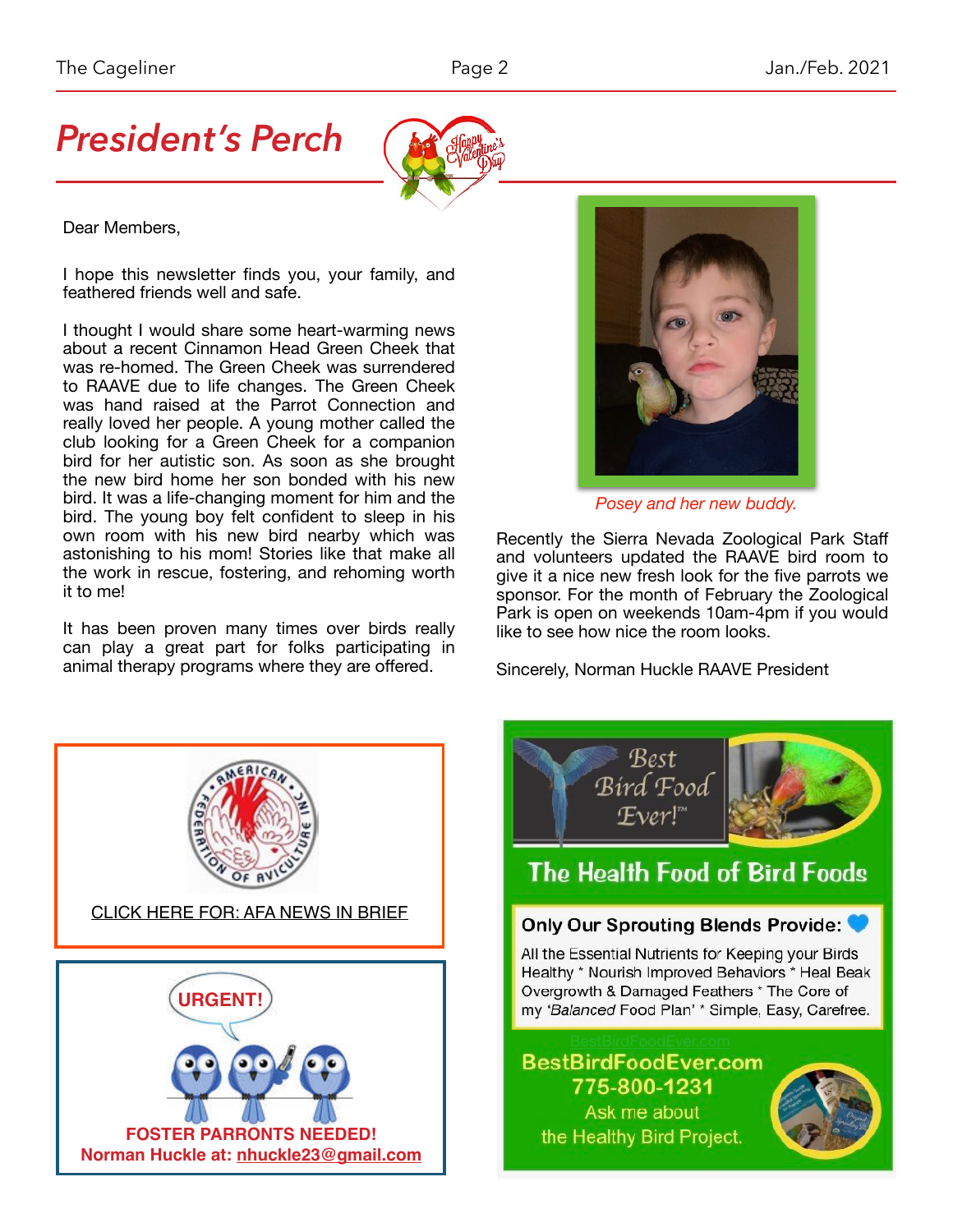# *President's Perch*



Dear Members,

I hope this newsletter finds you, your family, and feathered friends well and safe.

I thought I would share some heart-warming news about a recent Cinnamon Head Green Cheek that was re-homed. The Green Cheek was surrendered to RAAVE due to life changes. The Green Cheek was hand raised at the Parrot Connection and really loved her people. A young mother called the club looking for a Green Cheek for a companion bird for her autistic son. As soon as she brought the new bird home her son bonded with his new bird. It was a life-changing moment for him and the bird. The young boy felt confident to sleep in his own room with his new bird nearby which was astonishing to his mom! Stories like that make all the work in rescue, fostering, and rehoming worth it to me!

It has been proven many times over birds really can play a great part for folks participating in animal therapy programs where they are offered.



*Posey and her new buddy.*

Recently the Sierra Nevada Zoological Park Staff and volunteers updated the RAAVE bird room to give it a nice new fresh look for the five parrots we sponsor. For the month of February the Zoological Park is open on weekends 10am-4pm if you would like to see how nice the room looks.

Sincerely, Norman Huckle RAAVE President



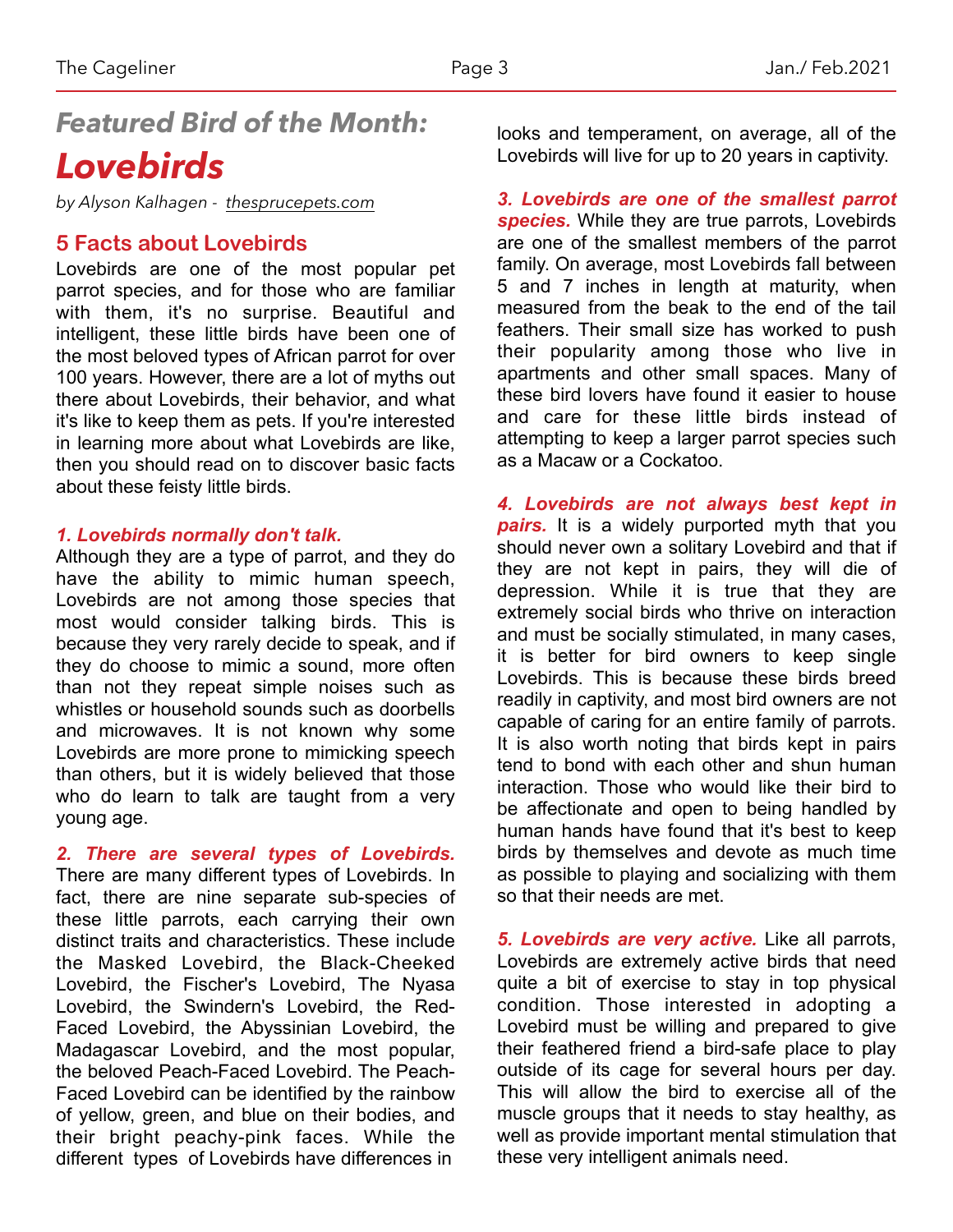## *Featured Bird of the Month: Lovebirds*

*by Alyson Kalhagen - [thesprucepets.com](http://thesprucepets.com)*

#### **5 Facts about Lovebirds**

Lovebirds are one of the most popular pet parrot species, and for those who are familiar with them, it's no surprise. Beautiful and intelligent, these little birds have been one of the most beloved types of African parrot for over 100 years. However, there are a lot of myths out there about Lovebirds, their behavior, and what it's like to keep them as pets. If you're interested in learning more about what Lovebirds are like, then you should read on to discover basic facts about these feisty little birds.

#### *1. Lovebirds normally don't talk.*

Although they are a type of parrot, and they do have the ability to mimic human speech, Lovebirds are not among those species that most would consider [talking birds.](https://www.thesprucepets.com/popular-talking-bird-species-390540) This is because they very rarely decide to speak, and if they do choose to mimic a sound, more often than not they repeat simple noises such as whistles or household sounds such as doorbells and microwaves. It is not known why some Lovebirds are more prone to mimicking speech than others, but it is widely believed that those who do learn to talk are taught from a very young age.

*2. There are several types of Lovebirds.*

There are many different types of [Lovebirds.](https://www.thesprucepets.com/lovebirds-1236921) In fact, there are nine separate sub-species of these little parrots, each carrying their own distinct traits and characteristics. These include the Masked Lovebird, the Black-Cheeked Lovebird, the Fischer's Lovebird, The Nyasa Lovebird, the Swindern's Lovebird, the Red-Faced Lovebird, the Abyssinian Lovebird, the Madagascar Lovebird, and the most popular, the beloved Peach-Faced Lovebird. The Peach-Faced Lovebird can be identified by the rainbow of yellow, green, and blue on their bodies, and their bright peachy-pink faces. While the different types of Lovebirds have differences in

looks and temperament, on average, all of the Lovebirds will live for up to 20 years in captivity.

*3. Lovebirds are one of the smallest parrot species.* While they are true [parrots](https://www.thesprucepets.com/what-is-the-difference-between-a-softbill-and-a-hookbill-390747), Lovebirds are one of the smallest members of the parrot family. On average, most Lovebirds fall between 5 and 7 inches in length at maturity, when measured from the beak to the end of the tail feathers. Their small size has worked to push their popularity among those who live in apartments and other small spaces. Many of these bird lovers have found it easier to house and care for these little birds instead of attempting to keep a larger parrot species such as a Macaw or a Cockatoo.

*4. Lovebirds are not always best kept in pairs.* It is a widely purported myth that you should never own a solitary Lovebird and that if they are not kept in pairs, they will die of depression. While it is true that they are extremely social birds who thrive on interaction and must be socially stimulated, in many cases, it is better for bird owners to keep single Lovebirds. This is because these birds [breed](https://www.thesprucepets.com/should-i-breed-my-pet-bird-390488) readily in captivity, and most bird owners are not capable of caring for an entire family of parrots. It is also worth noting that birds kept in pairs tend to bond with each other and shun human interaction. Those who would like their bird to be affectionate and open to being handled by human hands have found that it's best to keep birds by themselves and devote as much time as possible to playing and socializing with them so that their needs are met.

*5. Lovebirds are very active.* Like all parrots, Lovebirds are extremely active birds that need quite a bit of exercise to stay in top physical condition. Those interested in adopting a Lovebird must be willing and prepared to give their feathered friend a bird-safe place to play outside of its cage for several hours per day. This will allow the bird to exercise all of the muscle groups that it needs to stay healthy, as well as provide important mental stimulation that these very intelligent animals need.